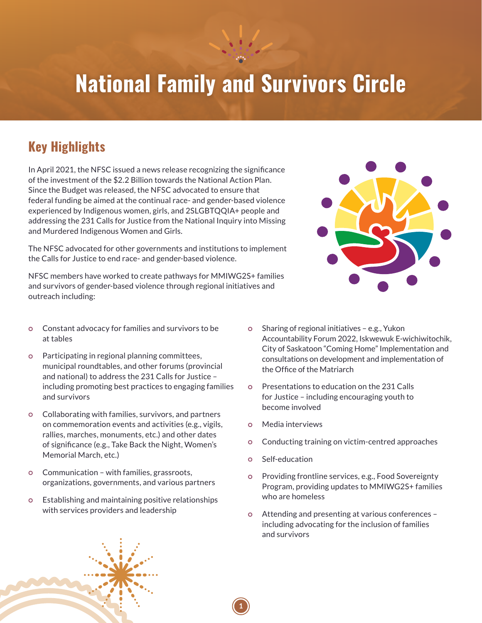# **National Family and Survivors Circle**

### **Key Highlights**

In April 2021, the NFSC issued a news release recognizing the significance of the investment of the \$2.2 Billion towards the National Action Plan. Since the Budget was released, the NFSC advocated to ensure that federal funding be aimed at the continual race- and gender-based violence experienced by Indigenous women, girls, and 2SLGBTQQIA+ people and addressing the 231 Calls for Justice from the National Inquiry into Missing and Murdered Indigenous Women and Girls.

The NFSC advocated for other governments and institutions to implement the Calls for Justice to end race- and gender-based violence.

NFSC members have worked to create pathways for MMIWG2S+ families and survivors of gender-based violence through regional initiatives and outreach including:

- Constant advocacy for families and survivors to be at tables
- Participating in regional planning committees, municipal roundtables, and other forums (provincial and national) to address the 231 Calls for Justice – including promoting best practices to engaging families and survivors
- Collaborating with families, survivors, and partners on commemoration events and activities (e.g., vigils, rallies, marches, monuments, etc.) and other dates of significance (e.g., Take Back the Night, Women's Memorial March, etc.)
- Communication with families, grassroots, organizations, governments, and various partners
- Establishing and maintaining positive relationships with services providers and leadership
- Sharing of regional initiatives e.g., Yukon Accountability Forum 2022, Iskwewuk E-wichiwitochik, City of Saskatoon "Coming Home" Implementation and consultations on development and implementation of the Office of the Matriarch
- Presentations to education on the 231 Calls for Justice – including encouraging youth to become involved
- Media interviews
- Conducting training on victim-centred approaches
- Self-education
- Providing frontline services, e.g., Food Sovereignty Program, providing updates to MMIWG2S+ families who are homeless
- Attending and presenting at various conferences including advocating for the inclusion of families and survivors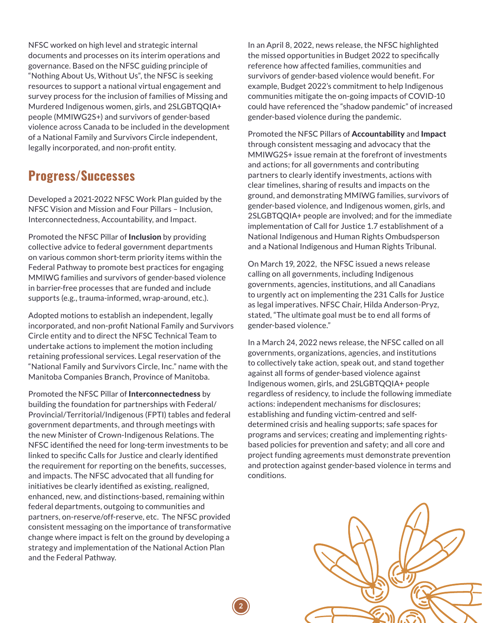NFSC worked on high level and strategic internal documents and processes on its interim operations and governance. Based on the NFSC guiding principle of "Nothing About Us, Without Us", the NFSC is seeking resources to support a national virtual engagement and survey process for the inclusion of families of Missing and Murdered Indigenous women, girls, and 2SLGBTQQIA+ people (MMIWG2S+) and survivors of gender-based violence across Canada to be included in the development of a National Family and Survivors Circle independent, legally incorporated, and non-profit entity.

#### **Progress/Successes**

Developed a 2021-2022 NFSC Work Plan guided by the NFSC Vision and Mission and Four Pillars – Inclusion, Interconnectedness, Accountability, and Impact.

Promoted the NFSC Pillar of **Inclusion** by providing collective advice to federal government departments on various common short-term priority items within the Federal Pathway to promote best practices for engaging MMIWG families and survivors of gender-based violence in barrier-free processes that are funded and include supports (e.g., trauma-informed, wrap-around, etc.).

Adopted motions to establish an independent, legally incorporated, and non-profit National Family and Survivors Circle entity and to direct the NFSC Technical Team to undertake actions to implement the motion including retaining professional services. Legal reservation of the "National Family and Survivors Circle, Inc." name with the Manitoba Companies Branch, Province of Manitoba.

Promoted the NFSC Pillar of Interconnectedness by building the foundation for partnerships with Federal/ Provincial/Territorial/Indigenous (FPTI) tables and federal government departments, and through meetings with the new Minister of Crown-Indigenous Relations. The NFSC identified the need for long-term investments to be linked to specific Calls for Justice and clearly identified the requirement for reporting on the benefits, successes, and impacts. The NFSC advocated that all funding for initiatives be clearly identified as existing, realigned, enhanced, new, and distinctions-based, remaining within federal departments, outgoing to communities and partners, on-reserve/off-reserve, etc. The NFSC provided consistent messaging on the importance of transformative change where impact is felt on the ground by developing a strategy and implementation of the National Action Plan and the Federal Pathway.

**2**

In an April 8, 2022, news release, the NFSC highlighted the missed opportunities in Budget 2022 to specifically reference how affected families, communities and survivors of gender-based violence would benefit. For example, Budget 2022's commitment to help Indigenous communities mitigate the on-going impacts of COVID-10 could have referenced the "shadow pandemic" of increased gender-based violence during the pandemic.

Promoted the NFSC Pillars of Accountability and Impact through consistent messaging and advocacy that the MMIWG2S+ issue remain at the forefront of investments and actions; for all governments and contributing partners to clearly identify investments, actions with clear timelines, sharing of results and impacts on the ground, and demonstrating MMIWG families, survivors of gender-based violence, and Indigenous women, girls, and 2SLGBTQQIA+ people are involved; and for the immediate implementation of Call for Justice 1.7 establishment of a National Indigenous and Human Rights Ombudsperson and a National Indigenous and Human Rights Tribunal.

On March 19, 2022, the NFSC issued a news release calling on all governments, including Indigenous governments, agencies, institutions, and all Canadians to urgently act on implementing the 231 Calls for Justice as legal imperatives. NFSC Chair, Hilda Anderson-Pryz, stated, "The ultimate goal must be to end all forms of gender-based violence."

In a March 24, 2022 news release, the NFSC called on all governments, organizations, agencies, and institutions to collectively take action, speak out, and stand together against all forms of gender-based violence against Indigenous women, girls, and 2SLGBTQQIA+ people regardless of residency, to include the following immediate actions: independent mechanisms for disclosures; establishing and funding victim-centred and selfdetermined crisis and healing supports; safe spaces for programs and services; creating and implementing rightsbased policies for prevention and safety; and all core and project funding agreements must demonstrate prevention and protection against gender-based violence in terms and conditions.